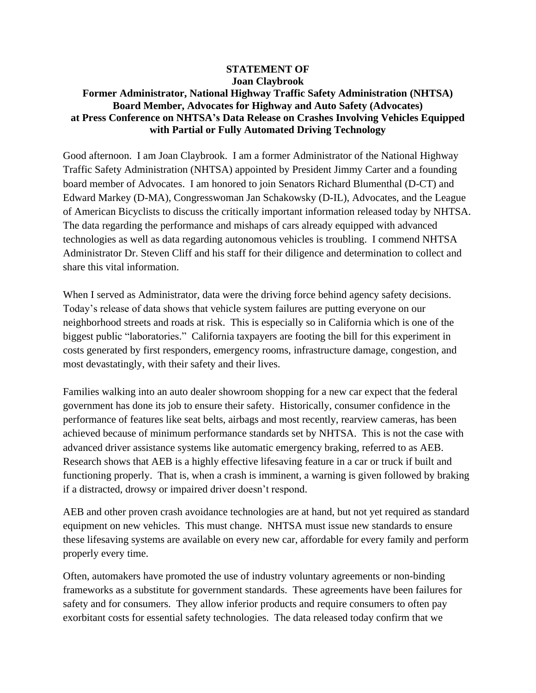## **STATEMENT OF Joan Claybrook**

## **Former Administrator, National Highway Traffic Safety Administration (NHTSA) Board Member, Advocates for Highway and Auto Safety (Advocates) at Press Conference on NHTSA's Data Release on Crashes Involving Vehicles Equipped with Partial or Fully Automated Driving Technology**

Good afternoon. I am Joan Claybrook. I am a former Administrator of the National Highway Traffic Safety Administration (NHTSA) appointed by President Jimmy Carter and a founding board member of Advocates. I am honored to join Senators Richard Blumenthal (D-CT) and Edward Markey (D-MA), Congresswoman Jan Schakowsky (D-IL), Advocates, and the League of American Bicyclists to discuss the critically important information released today by NHTSA. The data regarding the performance and mishaps of cars already equipped with advanced technologies as well as data regarding autonomous vehicles is troubling. I commend NHTSA Administrator Dr. Steven Cliff and his staff for their diligence and determination to collect and share this vital information.

When I served as Administrator, data were the driving force behind agency safety decisions. Today's release of data shows that vehicle system failures are putting everyone on our neighborhood streets and roads at risk. This is especially so in California which is one of the biggest public "laboratories." California taxpayers are footing the bill for this experiment in costs generated by first responders, emergency rooms, infrastructure damage, congestion, and most devastatingly, with their safety and their lives.

Families walking into an auto dealer showroom shopping for a new car expect that the federal government has done its job to ensure their safety. Historically, consumer confidence in the performance of features like seat belts, airbags and most recently, rearview cameras, has been achieved because of minimum performance standards set by NHTSA. This is not the case with advanced driver assistance systems like automatic emergency braking, referred to as AEB. Research shows that AEB is a highly effective lifesaving feature in a car or truck if built and functioning properly. That is, when a crash is imminent, a warning is given followed by braking if a distracted, drowsy or impaired driver doesn't respond.

AEB and other proven crash avoidance technologies are at hand, but not yet required as standard equipment on new vehicles. This must change. NHTSA must issue new standards to ensure these lifesaving systems are available on every new car, affordable for every family and perform properly every time.

Often, automakers have promoted the use of industry voluntary agreements or non-binding frameworks as a substitute for government standards. These agreements have been failures for safety and for consumers. They allow inferior products and require consumers to often pay exorbitant costs for essential safety technologies. The data released today confirm that we